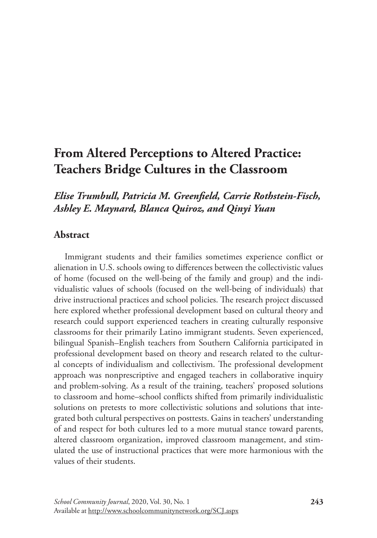# **From Altered Perceptions to Altered Practice: Teachers Bridge Cultures in the Classroom**

## *Elise Trumbull, Patricia M. Greenfield, Carrie Rothstein-Fisch, Ashley E. Maynard, Blanca Quiroz, and Qinyi Yuan*

## **Abstract**

Immigrant students and their families sometimes experience conflict or alienation in U.S. schools owing to differences between the collectivistic values of home (focused on the well-being of the family and group) and the individualistic values of schools (focused on the well-being of individuals) that drive instructional practices and school policies. The research project discussed here explored whether professional development based on cultural theory and research could support experienced teachers in creating culturally responsive classrooms for their primarily Latino immigrant students. Seven experienced, bilingual Spanish–English teachers from Southern California participated in professional development based on theory and research related to the cultural concepts of individualism and collectivism. The professional development approach was nonprescriptive and engaged teachers in collaborative inquiry and problem-solving. As a result of the training, teachers' proposed solutions to classroom and home–school conflicts shifted from primarily individualistic solutions on pretests to more collectivistic solutions and solutions that integrated both cultural perspectives on posttests. Gains in teachers' understanding of and respect for both cultures led to a more mutual stance toward parents, altered classroom organization, improved classroom management, and stimulated the use of instructional practices that were more harmonious with the values of their students.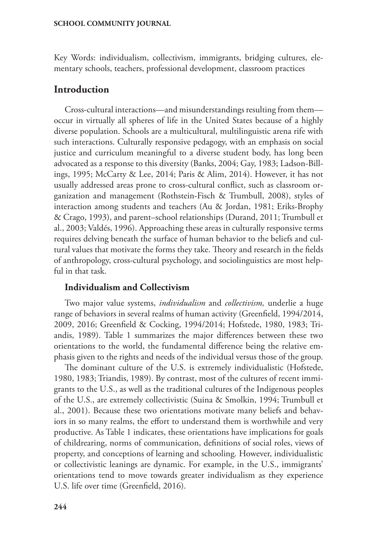Key Words: individualism, collectivism, immigrants, bridging cultures, elementary schools, teachers, professional development, classroom practices

## **Introduction**

Cross-cultural interactions—and misunderstandings resulting from them occur in virtually all spheres of life in the United States because of a highly diverse population. Schools are a multicultural, multilinguistic arena rife with such interactions. Culturally responsive pedagogy, with an emphasis on social justice and curriculum meaningful to a diverse student body, has long been advocated as a response to this diversity (Banks, 2004; Gay, 1983; Ladson-Billings, 1995; McCarty & Lee, 2014; Paris & Alim, 2014). However, it has not usually addressed areas prone to cross-cultural conflict, such as classroom organization and management (Rothstein-Fisch & Trumbull, 2008), styles of interaction among students and teachers (Au & Jordan, 1981; Eriks-Brophy & Crago, 1993), and parent–school relationships (Durand, 2011; Trumbull et al., 2003; Valdés, 1996). Approaching these areas in culturally responsive terms requires delving beneath the surface of human behavior to the beliefs and cultural values that motivate the forms they take. Theory and research in the fields of anthropology, cross-cultural psychology, and sociolinguistics are most helpful in that task.

### **Individualism and Collectivism**

Two major value systems, *individualism* and *collectivism,* underlie a huge range of behaviors in several realms of human activity (Greenfield, 1994/2014, 2009, 2016; Greenfield & Cocking, 1994/2014; Hofstede, 1980, 1983; Triandis, 1989). Table 1 summarizes the major differences between these two orientations to the world, the fundamental difference being the relative emphasis given to the rights and needs of the individual versus those of the group.

The dominant culture of the U.S. is extremely individualistic (Hofstede, 1980, 1983; Triandis, 1989). By contrast, most of the cultures of recent immigrants to the U.S., as well as the traditional cultures of the Indigenous peoples of the U.S., are extremely collectivistic (Suina & Smolkin, 1994; Trumbull et al., 2001). Because these two orientations motivate many beliefs and behaviors in so many realms, the effort to understand them is worthwhile and very productive. As Table 1 indicates, these orientations have implications for goals of childrearing, norms of communication, definitions of social roles, views of property, and conceptions of learning and schooling. However, individualistic or collectivistic leanings are dynamic. For example, in the U.S., immigrants' orientations tend to move towards greater individualism as they experience U.S. life over time (Greenfield, 2016).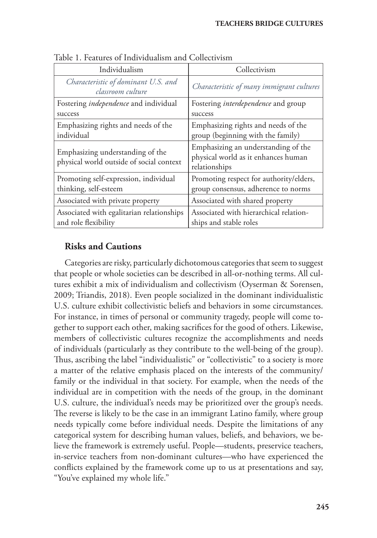| Individualism                                                                | Collectivism                                                                                |  |
|------------------------------------------------------------------------------|---------------------------------------------------------------------------------------------|--|
| Characteristic of dominant U.S. and<br>classroom culture                     | Characteristic of many immigrant cultures                                                   |  |
| Fostering <i>independence</i> and individual                                 | Fostering <i>interdependence</i> and group                                                  |  |
| success                                                                      | success                                                                                     |  |
| Emphasizing rights and needs of the                                          | Emphasizing rights and needs of the                                                         |  |
| individual                                                                   | group (beginning with the family)                                                           |  |
| Emphasizing understanding of the<br>physical world outside of social context | Emphasizing an understanding of the<br>physical world as it enhances human<br>relationships |  |
| Promoting self-expression, individual<br>thinking, self-esteem               | Promoting respect for authority/elders,<br>group consensus, adherence to norms              |  |
| Associated with private property                                             | Associated with shared property                                                             |  |
| Associated with egalitarian relationships<br>and role flexibility            | Associated with hierarchical relation-<br>ships and stable roles                            |  |

Table 1. Features of Individualism and Collectivism

## **Risks and Cautions**

Categories are risky, particularly dichotomous categories that seem to suggest that people or whole societies can be described in all-or-nothing terms. All cultures exhibit a mix of individualism and collectivism (Oyserman & Sorensen, 2009; Triandis, 2018). Even people socialized in the dominant individualistic U.S. culture exhibit collectivistic beliefs and behaviors in some circumstances. For instance, in times of personal or community tragedy, people will come together to support each other, making sacrifices for the good of others. Likewise, members of collectivistic cultures recognize the accomplishments and needs of individuals (particularly as they contribute to the well-being of the group). Thus, ascribing the label "individualistic" or "collectivistic" to a society is more a matter of the relative emphasis placed on the interests of the community/ family or the individual in that society. For example, when the needs of the individual are in competition with the needs of the group, in the dominant U.S. culture, the individual's needs may be prioritized over the group's needs. The reverse is likely to be the case in an immigrant Latino family, where group needs typically come before individual needs. Despite the limitations of any categorical system for describing human values, beliefs, and behaviors, we believe the framework is extremely useful. People—students, preservice teachers, in-service teachers from non-dominant cultures—who have experienced the conflicts explained by the framework come up to us at presentations and say, "You've explained my whole life."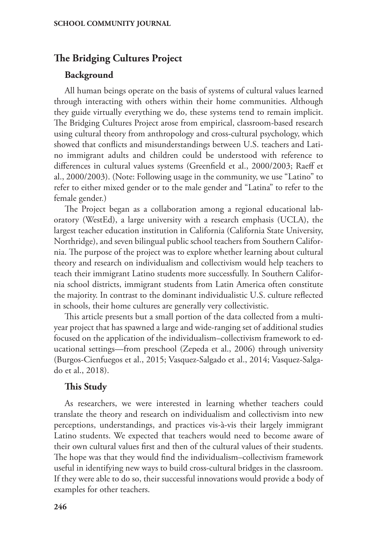## **The Bridging Cultures Project**

#### **Background**

All human beings operate on the basis of systems of cultural values learned through interacting with others within their home communities. Although they guide virtually everything we do, these systems tend to remain implicit. The Bridging Cultures Project arose from empirical, classroom-based research using cultural theory from anthropology and cross-cultural psychology, which showed that conflicts and misunderstandings between U.S. teachers and Latino immigrant adults and children could be understood with reference to differences in cultural values systems (Greenfield et al., 2000/2003; Raeff et al., 2000/2003). (Note: Following usage in the community, we use "Latino" to refer to either mixed gender or to the male gender and "Latina" to refer to the female gender.)

The Project began as a collaboration among a regional educational laboratory (WestEd), a large university with a research emphasis (UCLA), the largest teacher education institution in California (California State University, Northridge), and seven bilingual public school teachers from Southern California. The purpose of the project was to explore whether learning about cultural theory and research on individualism and collectivism would help teachers to teach their immigrant Latino students more successfully. In Southern California school districts, immigrant students from Latin America often constitute the majority. In contrast to the dominant individualistic U.S. culture reflected in schools, their home cultures are generally very collectivistic.

This article presents but a small portion of the data collected from a multiyear project that has spawned a large and wide-ranging set of additional studies focused on the application of the individualism–collectivism framework to educational settings—from preschool (Zepeda et al., 2006) through university (Burgos-Cienfuegos et al., 2015; Vasquez-Salgado et al., 2014; Vasquez-Salgado et al., 2018).

#### **This Study**

As researchers, we were interested in learning whether teachers could translate the theory and research on individualism and collectivism into new perceptions, understandings, and practices vis-à-vis their largely immigrant Latino students. We expected that teachers would need to become aware of their own cultural values first and then of the cultural values of their students. The hope was that they would find the individualism–collectivism framework useful in identifying new ways to build cross-cultural bridges in the classroom. If they were able to do so, their successful innovations would provide a body of examples for other teachers.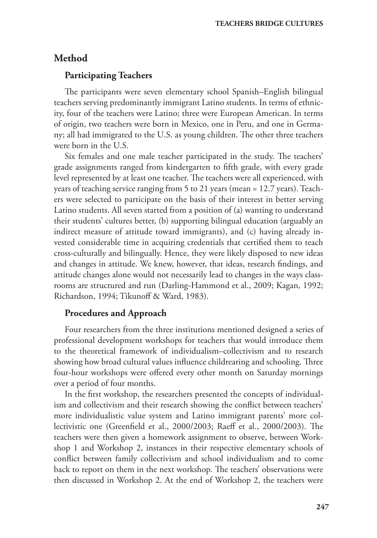## **Method**

## **Participating Teachers**

The participants were seven elementary school Spanish–English bilingual teachers serving predominantly immigrant Latino students. In terms of ethnicity, four of the teachers were Latino; three were European American. In terms of origin, two teachers were born in Mexico, one in Peru, and one in Germany; all had immigrated to the U.S. as young children. The other three teachers were born in the U.S.

Six females and one male teacher participated in the study. The teachers' grade assignments ranged from kindergarten to fifth grade, with every grade level represented by at least one teacher. The teachers were all experienced, with years of teaching service ranging from 5 to 21 years (mean = 12.7 years). Teachers were selected to participate on the basis of their interest in better serving Latino students. All seven started from a position of (a) wanting to understand their students' cultures better, (b) supporting bilingual education (arguably an indirect measure of attitude toward immigrants), and (c) having already invested considerable time in acquiring credentials that certified them to teach cross-culturally and bilingually. Hence, they were likely disposed to new ideas and changes in attitude. We knew, however, that ideas, research findings, and attitude changes alone would not necessarily lead to changes in the ways classrooms are structured and run (Darling-Hammond et al., 2009; Kagan, 1992; Richardson, 1994; Tikunoff & Ward, 1983).

## **Procedures and Approach**

Four researchers from the three institutions mentioned designed a series of professional development workshops for teachers that would introduce them to the theoretical framework of individualism–collectivism and to research showing how broad cultural values influence childrearing and schooling. Three four-hour workshops were offered every other month on Saturday mornings over a period of four months.

In the first workshop, the researchers presented the concepts of individualism and collectivism and their research showing the conflict between teachers' more individualistic value system and Latino immigrant parents' more collectivistic one (Greenfield et al., 2000/2003; Raeff et al., 2000/2003). The teachers were then given a homework assignment to observe, between Workshop 1 and Workshop 2, instances in their respective elementary schools of conflict between family collectivism and school individualism and to come back to report on them in the next workshop. The teachers' observations were then discussed in Workshop 2. At the end of Workshop 2, the teachers were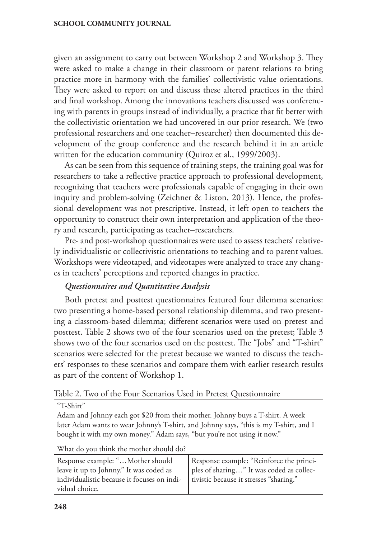given an assignment to carry out between Workshop 2 and Workshop 3. They were asked to make a change in their classroom or parent relations to bring practice more in harmony with the families' collectivistic value orientations. They were asked to report on and discuss these altered practices in the third and final workshop. Among the innovations teachers discussed was conferencing with parents in groups instead of individually, a practice that fit better with the collectivistic orientation we had uncovered in our prior research. We (two professional researchers and one teacher–researcher) then documented this development of the group conference and the research behind it in an article written for the education community (Quiroz et al., 1999/2003).

As can be seen from this sequence of training steps, the training goal was for researchers to take a reflective practice approach to professional development, recognizing that teachers were professionals capable of engaging in their own inquiry and problem-solving (Zeichner & Liston, 2013). Hence, the professional development was not prescriptive. Instead, it left open to teachers the opportunity to construct their own interpretation and application of the theory and research, participating as teacher–researchers.

Pre- and post-workshop questionnaires were used to assess teachers' relatively individualistic or collectivistic orientations to teaching and to parent values. Workshops were videotaped, and videotapes were analyzed to trace any changes in teachers' perceptions and reported changes in practice.

### *Questionnaires and Quantitative Analysis*

Both pretest and posttest questionnaires featured four dilemma scenarios: two presenting a home-based personal relationship dilemma, and two presenting a classroom-based dilemma; different scenarios were used on pretest and posttest. Table 2 shows two of the four scenarios used on the pretest; Table 3 shows two of the four scenarios used on the posttest. The "Jobs" and "T-shirt" scenarios were selected for the pretest because we wanted to discuss the teachers' responses to these scenarios and compare them with earlier research results as part of the content of Workshop 1.

Table 2. Two of the Four Scenarios Used in Pretest Questionnaire

"T-Shirt"

Adam and Johnny each got \$20 from their mother. Johnny buys a T-shirt. A week later Adam wants to wear Johnny's T-shirt, and Johnny says, "this is my T-shirt, and I bought it with my own money." Adam says, "but you're not using it now."

What do you think the mother should do?

| Response example: "Mother should                              | Response example: "Reinforce the princi- |
|---------------------------------------------------------------|------------------------------------------|
| leave it up to Johnny." It was coded as                       | ples of sharing" It was coded as collec- |
| individualistic because it focuses on indi-<br>vidual choice. | tivistic because it stresses "sharing."  |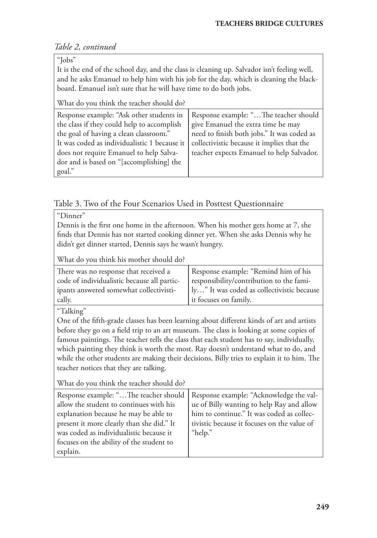## *Table 2, continued*

"Jobs"

It is the end of the school day, and the class is cleaning up. Salvador isn't feeling well, and he asks Emanuel to help him with his job for the day, which is cleaning the blackboard. Emanuel isn't sure that he will have time to do both jobs.

What do you think the teacher should do?

| Response example: "Ask other students in     | Response example: "The teacher should      |  |
|----------------------------------------------|--------------------------------------------|--|
| the class if they could help to accomplish   | give Emanuel the extra time he may         |  |
| the goal of having a clean classroom."       | need to finish both jobs." It was coded as |  |
| It was coded as individualistic 1 because it | collectivistic because it implies that the |  |
| does not require Emanuel to help Salva-      | teacher expects Emanuel to help Salvador.  |  |
| dor and is based on "[accomplishing] the     |                                            |  |
| goal."                                       |                                            |  |

## Table 3. Two of the Four Scenarios Used in Posttest Questionnaire

"Dinner"

Dennis is the first one home in the afternoon. When his mother gets home at 7, she finds that Dennis has not started cooking dinner yet. When she asks Dennis why he didn't get dinner started, Dennis says he wasn't hungry.

What do you think his mother should do?

| There was no response that received a       | Response example: "Remind him of his       |  |
|---------------------------------------------|--------------------------------------------|--|
| code of individualistic because all partic- | responsibility/contribution to the fami-   |  |
| ipants answered somewhat collectivisti-     | ly" It was coded as collectivistic because |  |
| cally.                                      | it focuses on family.                      |  |

"Talking"

One of the fifth-grade classes has been learning about different kinds of art and artists before they go on a field trip to an art museum. The class is looking at some copies of famous paintings. The teacher tells the class that each student has to say, individually, which painting they think is worth the most. Ray doesn't understand what to do, and while the other students are making their decisions, Billy tries to explain it to him. The teacher notices that they are talking.

What do you think the teacher should do?

| Response example: "The teacher should     | Response example: "Acknowledge the val-     |  |
|-------------------------------------------|---------------------------------------------|--|
| allow the student to continues with his   | ue of Billy wanting to help Ray and allow   |  |
| explanation because he may be able to     | him to continue." It was coded as collec-   |  |
| present it more clearly than she did." It | tivistic because it focuses on the value of |  |
| was coded as individualistic because it   | "help."                                     |  |
| focuses on the ability of the student to  |                                             |  |
| explain.                                  |                                             |  |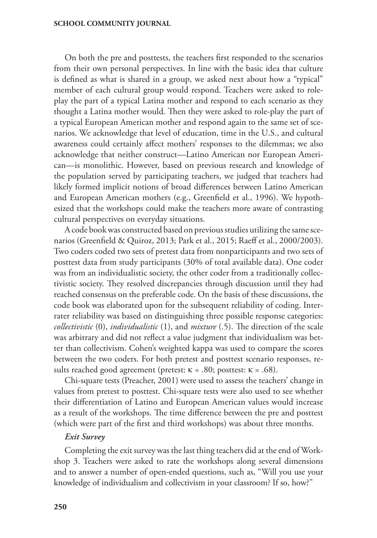On both the pre and posttests, the teachers first responded to the scenarios from their own personal perspectives. In line with the basic idea that culture is defined as what is shared in a group, we asked next about how a "typical" member of each cultural group would respond. Teachers were asked to roleplay the part of a typical Latina mother and respond to each scenario as they thought a Latina mother would. Then they were asked to role-play the part of a typical European American mother and respond again to the same set of scenarios. We acknowledge that level of education, time in the U.S., and cultural awareness could certainly affect mothers' responses to the dilemmas; we also acknowledge that neither construct—Latino American nor European American—is monolithic. However, based on previous research and knowledge of the population served by participating teachers, we judged that teachers had likely formed implicit notions of broad differences between Latino American and European American mothers (e.g., Greenfield et al., 1996). We hypothesized that the workshops could make the teachers more aware of contrasting cultural perspectives on everyday situations.

A code book was constructed based on previous studies utilizing the same scenarios (Greenfield & Quiroz, 2013; Park et al., 2015; Raeff et al., 2000/2003). Two coders coded two sets of pretest data from nonparticipants and two sets of posttest data from study participants (30% of total available data). One coder was from an individualistic society, the other coder from a traditionally collectivistic society. They resolved discrepancies through discussion until they had reached consensus on the preferable code. On the basis of these discussions, the code book was elaborated upon for the subsequent reliability of coding. Interrater reliability was based on distinguishing three possible response categories: *collectivistic* (0), *individualistic* (1), and *mixture* (.5). The direction of the scale was arbitrary and did not reflect a value judgment that individualism was better than collectivism. Cohen's weighted kappa was used to compare the scores between the two coders. For both pretest and posttest scenario responses, results reached good agreement (pretest:  $\kappa = .80$ ; posttest:  $\kappa = .68$ ).

Chi-square tests (Preacher, 2001) were used to assess the teachers' change in values from pretest to posttest. Chi-square tests were also used to see whether their differentiation of Latino and European American values would increase as a result of the workshops. The time difference between the pre and posttest (which were part of the first and third workshops) was about three months.

#### *Exit Survey*

Completing the exit survey was the last thing teachers did at the end of Workshop 3. Teachers were asked to rate the workshops along several dimensions and to answer a number of open-ended questions, such as, "Will you use your knowledge of individualism and collectivism in your classroom? If so, how?"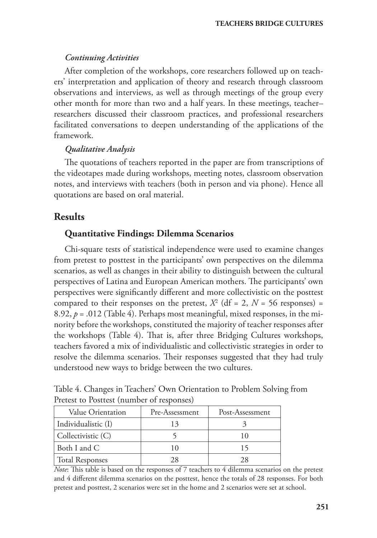#### *Continuing Activities*

After completion of the workshops, core researchers followed up on teachers' interpretation and application of theory and research through classroom observations and interviews, as well as through meetings of the group every other month for more than two and a half years. In these meetings, teacher– researchers discussed their classroom practices, and professional researchers facilitated conversations to deepen understanding of the applications of the framework.

#### *Qualitative Analysis*

The quotations of teachers reported in the paper are from transcriptions of the videotapes made during workshops, meeting notes, classroom observation notes, and interviews with teachers (both in person and via phone). Hence all quotations are based on oral material.

## **Results**

## **Quantitative Findings: Dilemma Scenarios**

Chi-square tests of statistical independence were used to examine changes from pretest to posttest in the participants' own perspectives on the dilemma scenarios, as well as changes in their ability to distinguish between the cultural perspectives of Latina and European American mothers. The participants' own perspectives were significantly different and more collectivistic on the posttest compared to their responses on the pretest,  $X^2$  (df = 2,  $N = 56$  responses) = 8.92,  $p = .012$  (Table 4). Perhaps most meaningful, mixed responses, in the minority before the workshops, constituted the majority of teacher responses after the workshops (Table 4). That is, after three Bridging Cultures workshops, teachers favored a mix of individualistic and collectivistic strategies in order to resolve the dilemma scenarios. Their responses suggested that they had truly understood new ways to bridge between the two cultures.

Table 4. Changes in Teachers' Own Orientation to Problem Solving from Pretest to Posttest (number of responses)

| Value Orientation      | Pre-Assessment | Post-Assessment |
|------------------------|----------------|-----------------|
| Individualistic (I)    |                |                 |
| Collectivistic (C)     |                |                 |
| Both I and C           |                |                 |
| <b>Total Responses</b> | 28             | 28              |

*Note*: This table is based on the responses of 7 teachers to 4 dilemma scenarios on the pretest and 4 different dilemma scenarios on the posttest, hence the totals of 28 responses. For both pretest and posttest, 2 scenarios were set in the home and 2 scenarios were set at school.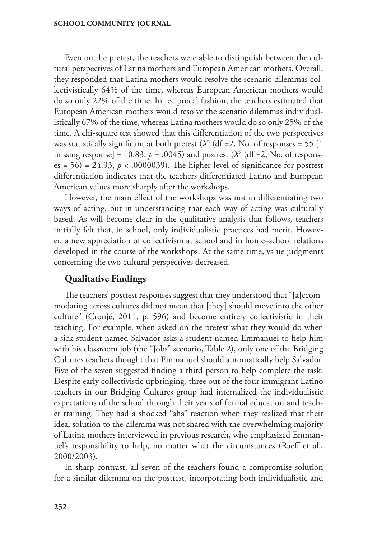Even on the pretest, the teachers were able to distinguish between the cultural perspectives of Latina mothers and European American mothers. Overall, they responded that Latina mothers would resolve the scenario dilemmas collectivistically 64% of the time, whereas European American mothers would do so only 22% of the time. In reciprocal fashion, the teachers estimated that European American mothers would resolve the scenario dilemmas individualistically 67% of the time, whereas Latina mothers would do so only 25% of the time. A chi-square test showed that this differentiation of the two perspectives was statistically significant at both pretest ( $X^2$  (df = 2, No. of responses = 55 [1 missing response] =  $10.83$ ,  $p = .0045$ ) and posttest ( $X<sup>2</sup>$  (df = 2, No. of responses =  $56$ ) =  $24.93$ ,  $p < .0000039$ ). The higher level of significance for posttest differentiation indicates that the teachers differentiated Latino and European American values more sharply after the workshops.

However, the main effect of the workshops was not in differentiating two ways of acting, but in understanding that each way of acting was culturally based. As will become clear in the qualitative analysis that follows, teachers initially felt that, in school, only individualistic practices had merit. However, a new appreciation of collectivism at school and in home–school relations developed in the course of the workshops. At the same time, value judgments concerning the two cultural perspectives decreased.

### **Qualitative Findings**

The teachers' posttest responses suggest that they understood that "[a]ccommodating across cultures did not mean that [they] should move into the other culture" (Cronjé, 2011, p. 596) and become entirely collectivistic in their teaching. For example, when asked on the pretest what they would do when a sick student named Salvador asks a student named Emmanuel to help him with his classroom job (the "Jobs" scenario, Table 2), only one of the Bridging Cultures teachers thought that Emmanuel should automatically help Salvador. Five of the seven suggested finding a third person to help complete the task. Despite early collectivistic upbringing, three out of the four immigrant Latino teachers in our Bridging Cultures group had internalized the individualistic expectations of the school through their years of formal education and teacher training. They had a shocked "aha" reaction when they realized that their ideal solution to the dilemma was not shared with the overwhelming majority of Latina mothers interviewed in previous research, who emphasized Emmanuel's responsibility to help, no matter what the circumstances (Raeff et al., 2000/2003).

In sharp contrast, all seven of the teachers found a compromise solution for a similar dilemma on the posttest, incorporating both individualistic and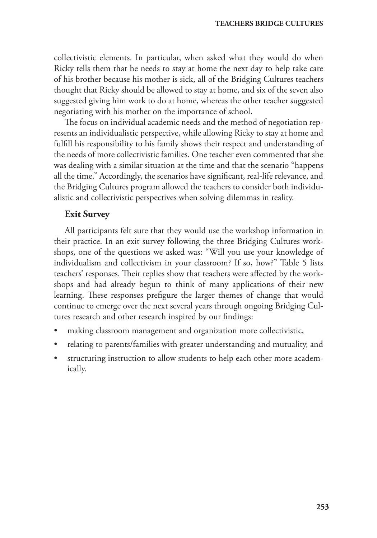collectivistic elements. In particular, when asked what they would do when Ricky tells them that he needs to stay at home the next day to help take care of his brother because his mother is sick, all of the Bridging Cultures teachers thought that Ricky should be allowed to stay at home, and six of the seven also suggested giving him work to do at home, whereas the other teacher suggested negotiating with his mother on the importance of school.

The focus on individual academic needs and the method of negotiation represents an individualistic perspective, while allowing Ricky to stay at home and fulfill his responsibility to his family shows their respect and understanding of the needs of more collectivistic families. One teacher even commented that she was dealing with a similar situation at the time and that the scenario "happens all the time." Accordingly, the scenarios have significant, real-life relevance, and the Bridging Cultures program allowed the teachers to consider both individualistic and collectivistic perspectives when solving dilemmas in reality.

### **Exit Survey**

All participants felt sure that they would use the workshop information in their practice. In an exit survey following the three Bridging Cultures workshops, one of the questions we asked was: "Will you use your knowledge of individualism and collectivism in your classroom? If so, how?" Table 5 lists teachers' responses. Their replies show that teachers were affected by the workshops and had already begun to think of many applications of their new learning. These responses prefigure the larger themes of change that would continue to emerge over the next several years through ongoing Bridging Cultures research and other research inspired by our findings:

- making classroom management and organization more collectivistic,
- relating to parents/families with greater understanding and mutuality, and
- structuring instruction to allow students to help each other more academically.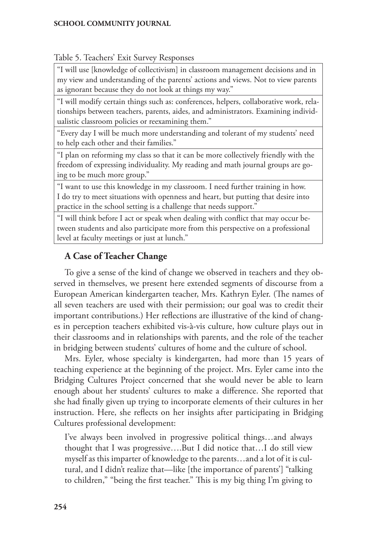### Table 5. Teachers' Exit Survey Responses

"I will use [knowledge of collectivism] in classroom management decisions and in my view and understanding of the parents' actions and views. Not to view parents as ignorant because they do not look at things my way."

"I will modify certain things such as: conferences, helpers, collaborative work, relationships between teachers, parents, aides, and administrators. Examining individualistic classroom policies or reexamining them."

"Every day I will be much more understanding and tolerant of my students' need to help each other and their families."

"I plan on reforming my class so that it can be more collectively friendly with the freedom of expressing individuality. My reading and math journal groups are going to be much more group."

"I want to use this knowledge in my classroom. I need further training in how. I do try to meet situations with openness and heart, but putting that desire into practice in the school setting is a challenge that needs support."

"I will think before I act or speak when dealing with conflict that may occur between students and also participate more from this perspective on a professional level at faculty meetings or just at lunch."

## **A Case of Teacher Change**

To give a sense of the kind of change we observed in teachers and they observed in themselves, we present here extended segments of discourse from a European American kindergarten teacher, Mrs. Kathryn Eyler. (The names of all seven teachers are used with their permission; our goal was to credit their important contributions.) Her reflections are illustrative of the kind of changes in perception teachers exhibited vis-à-vis culture, how culture plays out in their classrooms and in relationships with parents, and the role of the teacher in bridging between students' cultures of home and the culture of school.

Mrs. Eyler, whose specialty is kindergarten, had more than 15 years of teaching experience at the beginning of the project. Mrs. Eyler came into the Bridging Cultures Project concerned that she would never be able to learn enough about her students' cultures to make a difference. She reported that she had finally given up trying to incorporate elements of their cultures in her instruction. Here, she reflects on her insights after participating in Bridging Cultures professional development:

I've always been involved in progressive political things…and always thought that I was progressive….But I did notice that…I do still view myself as this imparter of knowledge to the parents…and a lot of it is cultural, and I didn't realize that—like [the importance of parents'] "talking to children," "being the first teacher." This is my big thing I'm giving to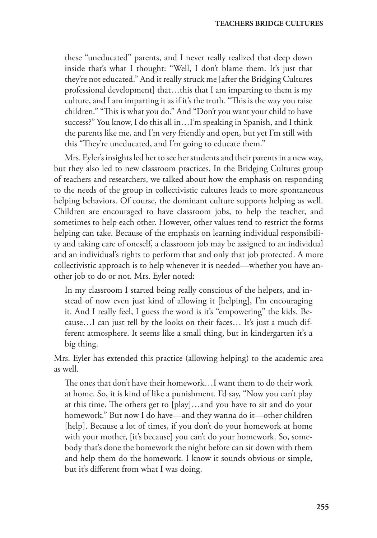these "uneducated" parents, and I never really realized that deep down inside that's what I thought: "Well, I don't blame them. It's just that they're not educated." And it really struck me [after the Bridging Cultures professional development] that…this that I am imparting to them is my culture, and I am imparting it as if it's the truth. "This is the way you raise children." "This is what you do." And "Don't you want your child to have success?" You know, I do this all in…I'm speaking in Spanish, and I think the parents like me, and I'm very friendly and open, but yet I'm still with this "They're uneducated, and I'm going to educate them."

Mrs. Eyler's insights led her to see her students and their parents in a new way, but they also led to new classroom practices. In the Bridging Cultures group of teachers and researchers, we talked about how the emphasis on responding to the needs of the group in collectivistic cultures leads to more spontaneous helping behaviors. Of course, the dominant culture supports helping as well. Children are encouraged to have classroom jobs, to help the teacher, and sometimes to help each other. However, other values tend to restrict the forms helping can take. Because of the emphasis on learning individual responsibility and taking care of oneself, a classroom job may be assigned to an individual and an individual's rights to perform that and only that job protected. A more collectivistic approach is to help whenever it is needed—whether you have another job to do or not. Mrs. Eyler noted:

In my classroom I started being really conscious of the helpers, and instead of now even just kind of allowing it [helping], I'm encouraging it. And I really feel, I guess the word is it's "empowering" the kids. Because…I can just tell by the looks on their faces… It's just a much different atmosphere. It seems like a small thing, but in kindergarten it's a big thing.

Mrs. Eyler has extended this practice (allowing helping) to the academic area as well.

The ones that don't have their homework…I want them to do their work at home. So, it is kind of like a punishment. I'd say, "Now you can't play at this time. The others get to [play]…and you have to sit and do your homework." But now I do have—and they wanna do it—other children [help]. Because a lot of times, if you don't do your homework at home with your mother, [it's because] you can't do your homework. So, somebody that's done the homework the night before can sit down with them and help them do the homework. I know it sounds obvious or simple, but it's different from what I was doing.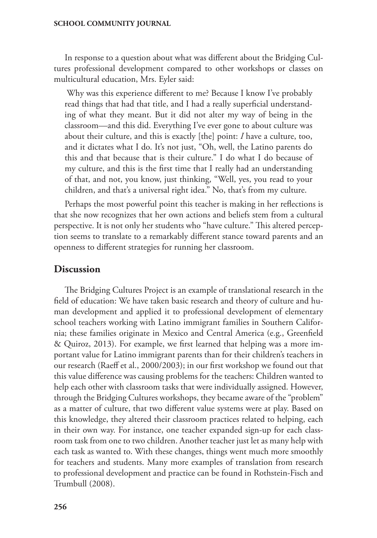In response to a question about what was different about the Bridging Cultures professional development compared to other workshops or classes on multicultural education, Mrs. Eyler said:

 Why was this experience different to me? Because I know I've probably read things that had that title, and I had a really superficial understanding of what they meant. But it did not alter my way of being in the classroom—and this did. Everything I've ever gone to about culture was about their culture, and this is exactly [the] point: *I* have a culture, too, and it dictates what I do. It's not just, "Oh, well, the Latino parents do this and that because that is their culture." I do what I do because of my culture, and this is the first time that I really had an understanding of that, and not, you know, just thinking, "Well, yes, you read to your children, and that's a universal right idea." No, that's from my culture.

Perhaps the most powerful point this teacher is making in her reflections is that she now recognizes that her own actions and beliefs stem from a cultural perspective. It is not only her students who "have culture." This altered perception seems to translate to a remarkably different stance toward parents and an openness to different strategies for running her classroom.

## **Discussion**

The Bridging Cultures Project is an example of translational research in the field of education: We have taken basic research and theory of culture and human development and applied it to professional development of elementary school teachers working with Latino immigrant families in Southern California; these families originate in Mexico and Central America (e.g., Greenfield & Quiroz, 2013). For example, we first learned that helping was a more important value for Latino immigrant parents than for their children's teachers in our research (Raeff et al., 2000/2003); in our first workshop we found out that this value difference was causing problems for the teachers: Children wanted to help each other with classroom tasks that were individually assigned. However, through the Bridging Cultures workshops, they became aware of the "problem" as a matter of culture, that two different value systems were at play. Based on this knowledge, they altered their classroom practices related to helping, each in their own way. For instance, one teacher expanded sign-up for each classroom task from one to two children. Another teacher just let as many help with each task as wanted to. With these changes, things went much more smoothly for teachers and students. Many more examples of translation from research to professional development and practice can be found in Rothstein-Fisch and Trumbull (2008).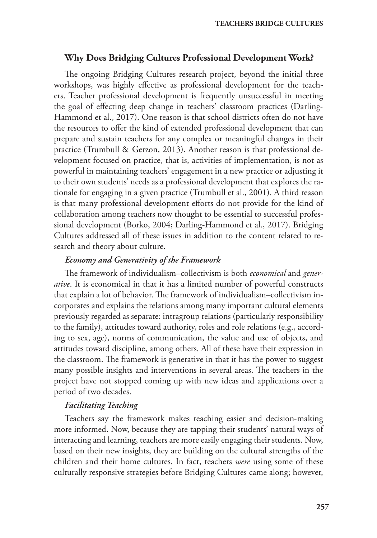## **Why Does Bridging Cultures Professional Development Work?**

The ongoing Bridging Cultures research project, beyond the initial three workshops, was highly effective as professional development for the teachers. Teacher professional development is frequently unsuccessful in meeting the goal of effecting deep change in teachers' classroom practices (Darling-Hammond et al., 2017). One reason is that school districts often do not have the resources to offer the kind of extended professional development that can prepare and sustain teachers for any complex or meaningful changes in their practice (Trumbull & Gerzon, 2013). Another reason is that professional development focused on practice, that is, activities of implementation, is not as powerful in maintaining teachers' engagement in a new practice or adjusting it to their own students' needs as a professional development that explores the rationale for engaging in a given practice (Trumbull et al., 2001). A third reason is that many professional development efforts do not provide for the kind of collaboration among teachers now thought to be essential to successful professional development (Borko, 2004; Darling-Hammond et al., 2017). Bridging Cultures addressed all of these issues in addition to the content related to research and theory about culture.

#### *Economy and Generativity of the Framework*

The framework of individualism–collectivism is both *economical* and *generative*. It is economical in that it has a limited number of powerful constructs that explain a lot of behavior. The framework of individualism–collectivism incorporates and explains the relations among many important cultural elements previously regarded as separate: intragroup relations (particularly responsibility to the family), attitudes toward authority, roles and role relations (e.g., according to sex, age), norms of communication, the value and use of objects, and attitudes toward discipline, among others. All of these have their expression in the classroom. The framework is generative in that it has the power to suggest many possible insights and interventions in several areas. The teachers in the project have not stopped coming up with new ideas and applications over a period of two decades.

#### *Facilitating Teaching*

Teachers say the framework makes teaching easier and decision-making more informed. Now, because they are tapping their students' natural ways of interacting and learning, teachers are more easily engaging their students. Now, based on their new insights, they are building on the cultural strengths of the children and their home cultures. In fact, teachers *were* using some of these culturally responsive strategies before Bridging Cultures came along; however,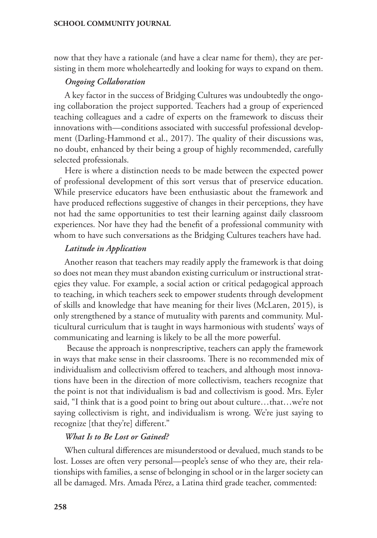now that they have a rationale (and have a clear name for them), they are persisting in them more wholeheartedly and looking for ways to expand on them.

#### *Ongoing Collaboration*

A key factor in the success of Bridging Cultures was undoubtedly the ongoing collaboration the project supported. Teachers had a group of experienced teaching colleagues and a cadre of experts on the framework to discuss their innovations with—conditions associated with successful professional development (Darling-Hammond et al., 2017). The quality of their discussions was, no doubt, enhanced by their being a group of highly recommended, carefully selected professionals.

Here is where a distinction needs to be made between the expected power of professional development of this sort versus that of preservice education. While preservice educators have been enthusiastic about the framework and have produced reflections suggestive of changes in their perceptions, they have not had the same opportunities to test their learning against daily classroom experiences. Nor have they had the benefit of a professional community with whom to have such conversations as the Bridging Cultures teachers have had.

#### *Latitude in Application*

Another reason that teachers may readily apply the framework is that doing so does not mean they must abandon existing curriculum or instructional strategies they value. For example, a social action or critical pedagogical approach to teaching, in which teachers seek to empower students through development of skills and knowledge that have meaning for their lives (McLaren, 2015), is only strengthened by a stance of mutuality with parents and community. Multicultural curriculum that is taught in ways harmonious with students' ways of communicating and learning is likely to be all the more powerful.

 Because the approach is nonprescriptive, teachers can apply the framework in ways that make sense in their classrooms. There is no recommended mix of individualism and collectivism offered to teachers, and although most innovations have been in the direction of more collectivism, teachers recognize that the point is not that individualism is bad and collectivism is good. Mrs. Eyler said, "I think that is a good point to bring out about culture…that…we're not saying collectivism is right, and individualism is wrong. We're just saying to recognize [that they're] different."

#### *What Is to Be Lost or Gained?*

When cultural differences are misunderstood or devalued, much stands to be lost. Losses are often very personal—people's sense of who they are, their relationships with families, a sense of belonging in school or in the larger society can all be damaged. Mrs. Amada Pérez, a Latina third grade teacher, commented: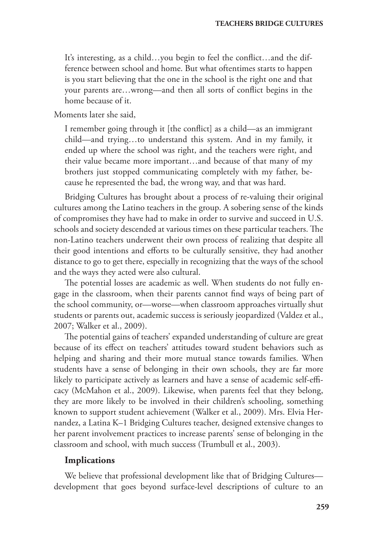It's interesting, as a child…you begin to feel the conflict…and the difference between school and home. But what oftentimes starts to happen is you start believing that the one in the school is the right one and that your parents are…wrong—and then all sorts of conflict begins in the home because of it.

Moments later she said,

I remember going through it [the conflict] as a child—as an immigrant child—and trying…to understand this system. And in my family, it ended up where the school was right, and the teachers were right, and their value became more important…and because of that many of my brothers just stopped communicating completely with my father, because he represented the bad, the wrong way, and that was hard.

Bridging Cultures has brought about a process of re-valuing their original cultures among the Latino teachers in the group. A sobering sense of the kinds of compromises they have had to make in order to survive and succeed in U.S. schools and society descended at various times on these particular teachers. The non-Latino teachers underwent their own process of realizing that despite all their good intentions and efforts to be culturally sensitive, they had another distance to go to get there, especially in recognizing that the ways of the school and the ways they acted were also cultural.

The potential losses are academic as well. When students do not fully engage in the classroom, when their parents cannot find ways of being part of the school community, or—worse—when classroom approaches virtually shut students or parents out, academic success is seriously jeopardized (Valdez et al., 2007; Walker et al., 2009).

The potential gains of teachers' expanded understanding of culture are great because of its effect on teachers' attitudes toward student behaviors such as helping and sharing and their more mutual stance towards families. When students have a sense of belonging in their own schools, they are far more likely to participate actively as learners and have a sense of academic self-efficacy (McMahon et al., 2009). Likewise, when parents feel that they belong, they are more likely to be involved in their children's schooling, something known to support student achievement (Walker et al., 2009). Mrs. Elvia Hernandez, a Latina K–1 Bridging Cultures teacher, designed extensive changes to her parent involvement practices to increase parents' sense of belonging in the classroom and school, with much success (Trumbull et al., 2003).

#### **Implications**

We believe that professional development like that of Bridging Cultures development that goes beyond surface-level descriptions of culture to an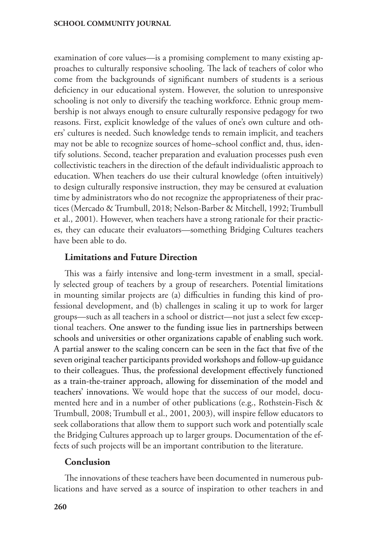examination of core values—is a promising complement to many existing approaches to culturally responsive schooling. The lack of teachers of color who come from the backgrounds of significant numbers of students is a serious deficiency in our educational system. However, the solution to unresponsive schooling is not only to diversify the teaching workforce. Ethnic group membership is not always enough to ensure culturally responsive pedagogy for two reasons. First, explicit knowledge of the values of one's own culture and others' cultures is needed. Such knowledge tends to remain implicit, and teachers may not be able to recognize sources of home–school conflict and, thus, identify solutions. Second, teacher preparation and evaluation processes push even collectivistic teachers in the direction of the default individualistic approach to education. When teachers do use their cultural knowledge (often intuitively) to design culturally responsive instruction, they may be censured at evaluation time by administrators who do not recognize the appropriateness of their practices (Mercado & Trumbull, 2018; Nelson-Barber & Mitchell, 1992; Trumbull et al., 2001). However, when teachers have a strong rationale for their practices, they can educate their evaluators—something Bridging Cultures teachers have been able to do.

### **Limitations and Future Direction**

This was a fairly intensive and long-term investment in a small, specially selected group of teachers by a group of researchers. Potential limitations in mounting similar projects are (a) difficulties in funding this kind of professional development, and (b) challenges in scaling it up to work for larger groups—such as all teachers in a school or district—not just a select few exceptional teachers. One answer to the funding issue lies in partnerships between schools and universities or other organizations capable of enabling such work. A partial answer to the scaling concern can be seen in the fact that five of the seven original teacher participants provided workshops and follow-up guidance to their colleagues. Thus, the professional development effectively functioned as a train-the-trainer approach, allowing for dissemination of the model and teachers' innovations. We would hope that the success of our model, documented here and in a number of other publications (e.g., Rothstein-Fisch & Trumbull, 2008; Trumbull et al., 2001, 2003), will inspire fellow educators to seek collaborations that allow them to support such work and potentially scale the Bridging Cultures approach up to larger groups. Documentation of the effects of such projects will be an important contribution to the literature.

## **Conclusion**

The innovations of these teachers have been documented in numerous publications and have served as a source of inspiration to other teachers in and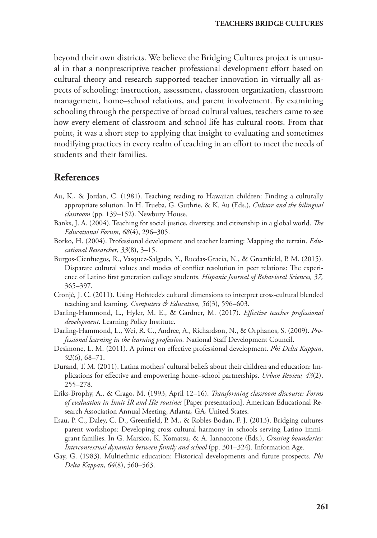beyond their own districts. We believe the Bridging Cultures project is unusual in that a nonprescriptive teacher professional development effort based on cultural theory and research supported teacher innovation in virtually all aspects of schooling: instruction, assessment, classroom organization, classroom management, home–school relations, and parent involvement. By examining schooling through the perspective of broad cultural values, teachers came to see how every element of classroom and school life has cultural roots. From that point, it was a short step to applying that insight to evaluating and sometimes modifying practices in every realm of teaching in an effort to meet the needs of students and their families.

## **References**

- Au, K., & Jordan, C. (1981). Teaching reading to Hawaiian children: Finding a culturally appropriate solution. In H. Trueba, G. Guthrie, & K. Au (Eds.), *Culture and the bilingual classroom* (pp. 139–152). Newbury House.
- Banks, J. A. (2004). Teaching for social justice, diversity, and citizenship in a global world. *The Educational Forum*, *68*(4), 296–305.
- Borko, H. (2004). Professional development and teacher learning: Mapping the terrain. *Educational Researcher*, *33*(8), 3–15.
- Burgos-Cienfuegos, R., Vasquez-Salgado, Y., Ruedas-Gracia, N., & Greenfield, P. M. (2015). Disparate cultural values and modes of conflict resolution in peer relations: The experience of Latino first generation college students. *Hispanic Journal of Behavioral Sciences, 37,*  365–397.
- Cronjé, J. C. (2011). Using Hofstede's cultural dimensions to interpret cross-cultural blended teaching and learning. *Computers & Education*, *56*(3), 596–603.
- Darling-Hammond, L., Hyler, M. E., & Gardner, M. (2017). *Effective teacher professional development*. Learning Policy Institute.
- Darling-Hammond, L., Wei, R. C., Andree, A., Richardson, N., & Orphanos, S. (2009). *Professional learning in the learning profession.* National Staff Development Council.
- Desimone, L. M. (2011). A primer on effective professional development. *Phi Delta Kappan*, *92*(6), 68–71.
- Durand, T. M. (2011). Latina mothers' cultural beliefs about their children and education: Implications for effective and empowering home–school partnerships. *Urban Review, 43*(2), 255–278.
- Eriks-Brophy, A., & Crago, M. (1993, April 12–16). *Transforming classroom discourse: Forms of evaluation in Inuit IR and IRe routines* [Paper presentation]. American Educational Research Association Annual Meeting, Atlanta, GA, United States.
- Esau, P. C., Daley, C. D., Greenfield, P. M., & Robles-Bodan, F. J. (2013). Bridging cultures parent workshops: Developing cross-cultural harmony in schools serving Latino immigrant families. In G. Marsico, K. Komatsu, & A. Iannaccone (Eds.), *Crossing boundaries: Intercontextual dynamics between family and school* (pp. 301–324). Information Age.
- Gay, G. (1983). Multiethnic education: Historical developments and future prospects. *Phi Delta Kappan*, *64*(8), 560–563.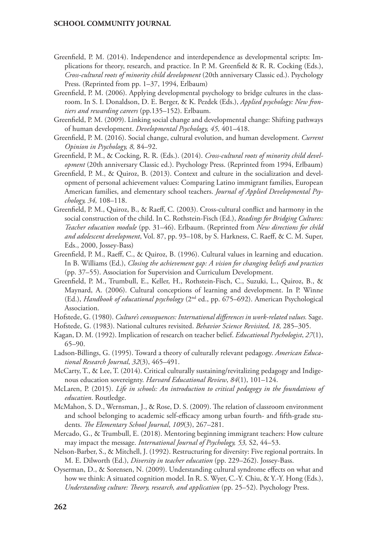- Greenfield, P. M. (2014). Independence and interdependence as developmental scripts: Implications for theory, research, and practice. In P. M. Greenfield & R. R. Cocking (Eds.), *Cross-cultural roots of minority child development* (20th anniversary Classic ed.). Psychology Press. (Reprinted from pp. 1–37, 1994, Erlbaum)
- Greenfield, P. M. (2006). Applying developmental psychology to bridge cultures in the classroom. In S. I. Donaldson, D. E. Berger, & K. Pezdek (Eds.), *Applied psychology: New frontiers and rewarding careers* (pp.135–152). Erlbaum.
- Greenfield, P. M. (2009). Linking social change and developmental change: Shifting pathways of human development. *Developmental Psychology, 45,* 401–418.
- Greenfield, P. M. (2016). Social change, cultural evolution, and human development. *Current Opinion in Psychology, 8,* 84–92.
- Greenfield, P. M., & Cocking, R. R. (Eds.). (2014). *Cross-cultural roots of minority child development* (20th anniversary Classic ed.). Psychology Press. (Reprinted from 1994, Erlbaum)
- Greenfield, P. M., & Quiroz, B. (2013). Context and culture in the socialization and development of personal achievement values: Comparing Latino immigrant families, European American families, and elementary school teachers. *Journal of Applied Developmental Psychology, 34,* 108–118.
- Greenfield, P. M., Quiroz, B., & Raeff, C. (2003). Cross-cultural conflict and harmony in the social construction of the child. In C. Rothstein-Fisch (Ed.), *Readings for Bridging Cultures: Teacher education module* (pp. 31–46). Erlbaum. (Reprinted from *New directions for child and adolescent development*, Vol. 87, pp. 93–108, by S. Harkness, C. Raeff, & C. M. Super, Eds., 2000, Jossey-Bass)
- Greenfield, P. M., Raeff, C., & Quiroz, B. (1996). Cultural values in learning and education. In B. Williams (Ed.), *Closing the achievement gap: A vision for changing beliefs and practices*  (pp. 37–55). Association for Supervision and Curriculum Development.
- Greenfield, P. M., Trumbull, E., Keller, H., Rothstein-Fisch, C., Suzuki, L., Quiroz, B., & Maynard, A. (2006). Cultural conceptions of learning and development. In P. Winne (Ed.), *Handbook of educational psychology* (2nd ed., pp. 675–692). American Psychological Association.
- Hofstede, G. (1980). *Culture's consequences: International differences in work-related values.* Sage.
- Hofstede, G. (1983). National cultures revisited. *Behavior Science Revisited, 18,* 285–305.
- Kagan, D. M. (1992). Implication of research on teacher belief. *Educational Psychologist*, *27*(1), 65–90.
- Ladson-Billings, G. (1995). Toward a theory of culturally relevant pedagogy. *American Educational Research Journal*, *32*(3), 465–491.
- McCarty, T., & Lee, T. (2014). Critical culturally sustaining/revitalizing pedagogy and Indigenous education sovereignty. *Harvard Educational Review*, *84*(1), 101–124.
- McLaren, P. (2015). *Life in schools: An introduction to critical pedagogy in the foundations of education*. Routledge.
- McMahon, S. D., Wernsman, J., & Rose, D. S. (2009). The relation of classroom environment and school belonging to academic self-efficacy among urban fourth- and fifth-grade students. *The Elementary School Journal*, *109*(3), 267–281.
- Mercado, G., & Trumbull, E. (2018). Mentoring beginning immigrant teachers: How culture may impact the message. *International Journal of Psychology, 53,* S2, 44–53.
- Nelson-Barber, S., & Mitchell, J. (1992). Restructuring for diversity: Five regional portraits. In M. E. Dilworth (Ed.), *Diversity in teacher education* (pp. 229–262). Jossey-Bass.
- Oyserman, D., & Sorensen, N. (2009). Understanding cultural syndrome effects on what and how we think: A situated cognition model. In R. S. Wyer, C.-Y. Chiu, & Y.-Y. Hong (Eds.), *Understanding culture: Theory, research, and application* (pp. 25–52). Psychology Press.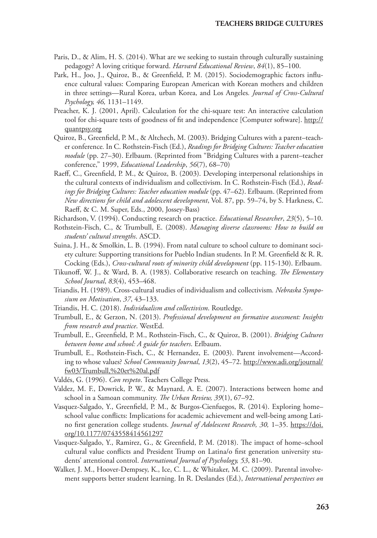- Paris, D., & Alim, H. S. (2014). What are we seeking to sustain through culturally sustaining pedagogy? A loving critique forward. *Harvard Educational Review*, *84*(1), 85–100.
- Park, H., Joo, J., Quiroz, B., & Greenfield, P. M. (2015). Sociodemographic factors influence cultural values: Comparing European American with Korean mothers and children in three settings—Rural Korea, urban Korea, and Los Angeles*. Journal of Cross-Cultural Psychology, 46,* 1131–1149.
- Preacher, K. J. (2001, April). Calculation for the chi-square test: An interactive calculation tool for chi-square tests of goodness of fit and independence [Computer software]. http:// quantpsy.org
- Quiroz, B., Greenfield, P. M., & Altchech, M. (2003). Bridging Cultures with a parent–teacher conference*.* In C. Rothstein-Fisch (Ed.), *Readings for Bridging Cultures: Teacher education module* (pp. 27–30). Erlbaum. (Reprinted from "Bridging Cultures with a parent–teacher conference," 1999, *Educational Leadership*, *56*(7), 68–70)
- Raeff, C., Greenfield, P. M., & Quiroz, B. (2003). Developing interpersonal relationships in the cultural contexts of individualism and collectivism. In C. Rothstein-Fisch (Ed.), *Readings for Bridging Cultures: Teacher education module* (pp. 47–62). Erlbaum. (Reprinted from *New directions for child and adolescent development*, Vol. 87, pp. 59–74, by S. Harkness, C. Raeff, & C. M. Super, Eds., 2000, Jossey-Bass)
- Richardson, V. (1994). Conducting research on practice. *Educational Researcher*, *23*(5), 5–10.
- Rothstein-Fisch, C., & Trumbull, E. (2008). *Managing diverse classrooms: How to build on students' cultural strengths*. ASCD.
- Suina, J. H., & Smolkin, L. B. (1994). From natal culture to school culture to dominant society culture: Supporting transitions for Pueblo Indian students. In P. M. Greenfield & R. R. Cocking (Eds.), *Cross-cultural roots of minority child development* (pp. 115-130). Erlbaum.
- Tikunoff, W. J., & Ward, B. A. (1983). Collaborative research on teaching. *The Elementary School Journal*, *83*(4), 453–468.
- Triandis, H. (1989). Cross-cultural studies of individualism and collectivism*. Nebraska Symposium on Motivation*, *37*, 43–133.
- Triandis, H. C. (2018). *Individualism and collectivism*. Routledge.
- Trumbull, E., & Gerzon, N. (2013). *Professional development on formative assessment: Insights from research and practice*. WestEd.
- Trumbull, E., Greenfield, P. M., Rothstein-Fisch, C., & Quiroz, B. (2001). *Bridging Cultures between home and school: A guide for teachers*. Erlbaum.
- Trumbull, E., Rothstein-Fisch, C., & Hernandez, E. (2003). Parent involvement—According to whose values? *School Community Journal*, *13*(2), 45–72. http://www.adi.org/journal/ fw03/Trumbull,%20et%20al.pdf
- Valdés, G. (1996). *Con respeto*. Teachers College Press.
- Valdez, M. F., Dowrick, P. W., & Maynard, A. E. (2007). Interactions between home and school in a Samoan community. *The Urban Review, 39*(1), 67–92.
- Vasquez-Salgado, Y., Greenfield, P. M., & Burgos-Cienfuegos, R. (2014). Exploring home– school value conflicts: Implications for academic achievement and well-being among Latino first generation college students. *Journal of Adolescent Research, 30,* 1–35. https://doi. org/10.1177/0743558414561297
- Vasquez-Salgado, Y., Ramirez, G., & Greenfield, P. M. (2018). The impact of home–school cultural value conflicts and President Trump on Latina/o first generation university students' attentional control. *International Journal of Psychology, 53*, 81–90.
- Walker, J. M., Hoover-Dempsey, K., Ice, C. L., & Whitaker, M. C. (2009). Parental involvement supports better student learning. In R. Deslandes (Ed.), *International perspectives on*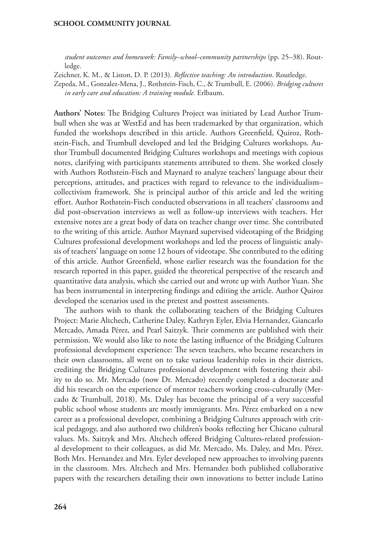*student outcomes and homework: Family–school–community partnerships* (pp. 25–38). Routledge.

Zeichner, K. M., & Liston, D. P. (2013). *Reflective teaching: An introduction*. Routledge.

Zepeda, M., Gonzalez-Mena, J., Rothstein-Fisch, C., & Trumbull, E. (2006). *Bridging cultures in early care and education: A training module.* Erlbaum.

**Authors' Notes:** The Bridging Cultures Project was initiated by Lead Author Trumbull when she was at WestEd and has been trademarked by that organization, which funded the workshops described in this article. Authors Greenfield, Quiroz, Rothstein-Fisch, and Trumbull developed and led the Bridging Cultures workshops. Author Trumbull documented Bridging Cultures workshops and meetings with copious notes, clarifying with participants statements attributed to them. She worked closely with Authors Rothstein-Fisch and Maynard to analyze teachers' language about their perceptions, attitudes, and practices with regard to relevance to the individualism– collectivism framework. She is principal author of this article and led the writing effort. Author Rothstein-Fisch conducted observations in all teachers' classrooms and did post-observation interviews as well as follow-up interviews with teachers. Her extensive notes are a great body of data on teacher change over time. She contributed to the writing of this article. Author Maynard supervised videotaping of the Bridging Cultures professional development workshops and led the process of linguistic analysis of teachers' language on some 12 hours of videotape. She contributed to the editing of this article. Author Greenfield, whose earlier research was the foundation for the research reported in this paper, guided the theoretical perspective of the research and quantitative data analysis, which she carried out and wrote up with Author Yuan. She has been instrumental in interpreting findings and editing the article. Author Quiroz developed the scenarios used in the pretest and posttest assessments.

The authors wish to thank the collaborating teachers of the Bridging Cultures Project: Marie Altchech, Catherine Daley, Kathryn Eyler, Elvia Hernandez, Giancarlo Mercado, Amada Pérez, and Pearl Saitzyk. Their comments are published with their permission. We would also like to note the lasting influence of the Bridging Cultures professional development experience: The seven teachers, who became researchers in their own classrooms, all went on to take various leadership roles in their districts, crediting the Bridging Cultures professional development with fostering their ability to do so. Mr. Mercado (now Dr. Mercado) recently completed a doctorate and did his research on the experience of mentor teachers working cross-culturally (Mercado & Trumbull, 2018). Ms. Daley has become the principal of a very successful public school whose students are mostly immigrants. Mrs. Pérez embarked on a new career as a professional developer, combining a Bridging Cultures approach with critical pedagogy, and also authored two children's books reflecting her Chicano cultural values. Ms. Saitzyk and Mrs. Altchech offered Bridging Cultures-related professional development to their colleagues, as did Mr. Mercado, Ms. Daley, and Mrs. Pérez. Both Mrs. Hernandez and Mrs. Eyler developed new approaches to involving parents in the classroom. Mrs. Altchech and Mrs. Hernandez both published collaborative papers with the researchers detailing their own innovations to better include Latino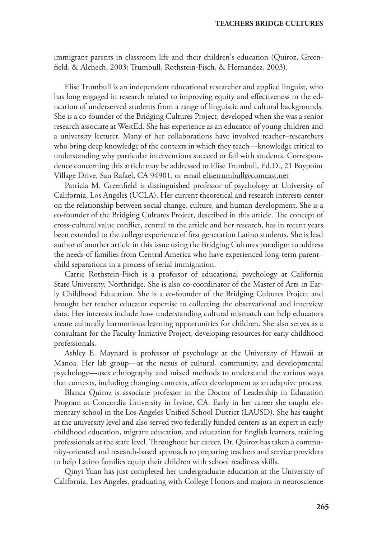immigrant parents in classroom life and their children's education (Quiroz, Greenfield, & Alchech, 2003; Trumbull, Rothstein-Fisch, & Hernandez, 2003).

Elise Trumbull is an independent educational researcher and applied linguist, who has long engaged in research related to improving equity and effectiveness in the education of underserved students from a range of linguistic and cultural backgrounds. She is a co-founder of the Bridging Cultures Project, developed when she was a senior research associate at WestEd. She has experience as an educator of young children and a university lecturer. Many of her collaborations have involved teacher–researchers who bring deep knowledge of the contexts in which they teach—knowledge critical to understanding why particular interventions succeed or fail with students. Correspondence concerning this article may be addressed to Elise Trumbull, Ed.D., 21 Baypoint Village Drive, San Rafael, CA 94901, or email elisetrumbull@comcast.net

Patricia M. Greenfield is distinguished professor of psychology at University of California, Los Angeles (UCLA). Her current theoretical and research interests center on the relationship between social change, culture, and human development. She is a co-founder of the Bridging Cultures Project, described in this article. The concept of cross-cultural value conflict, central to the article and her research, has in recent years been extended to the college experience of first generation Latino students. She is lead author of another article in this issue using the Bridging Cultures paradigm to address the needs of families from Central America who have experienced long-term parent– child separations in a process of serial immigration.

Carrie Rothstein-Fisch is a professor of educational psychology at California State University, Northridge. She is also co-coordinator of the Master of Arts in Early Childhood Education. She is a co-founder of the Bridging Cultures Project and brought her teacher educator expertise to collecting the observational and interview data. Her interests include how understanding cultural mismatch can help educators create culturally harmonious learning opportunities for children. She also serves as a consultant for the Faculty Initiative Project, developing resources for early childhood professionals.

Ashley E. Maynard is professor of psychology at the University of Hawaii at Manoa. Her lab group—at the nexus of cultural, community, and developmental psychology—uses ethnography and mixed methods to understand the various ways that contexts, including changing contexts, affect development as an adaptive process.

Blanca Quiroz is associate professor in the Doctor of Leadership in Education Program at Concordia University in Irvine, CA. Early in her career she taught elementary school in the Los Angeles Unified School District (LAUSD). She has taught at the university level and also served two federally funded centers as an expert in early childhood education, migrant education, and education for English learners, training professionals at the state level. Throughout her career, Dr. Quiroz has taken a community-oriented and research-based approach to preparing teachers and service providers to help Latino families equip their children with school readiness skills.

Qinyi Yuan has just completed her undergraduate education at the University of California, Los Angeles, graduating with College Honors and majors in neuroscience